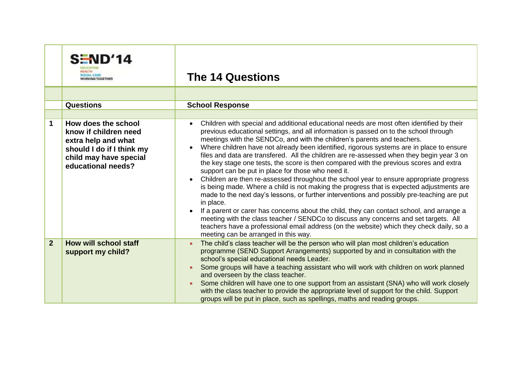|                | SEND'14<br><b>WORKING TOGETHER</b>                                                                                        | <b>The 14 Questions</b>                                                                                                                                                                                                                                                                                                                                                                                                                                                                                                                                                                                                                                                                                                                                                                                                                                                                                                                                                                                                                                                                                                                           |
|----------------|---------------------------------------------------------------------------------------------------------------------------|---------------------------------------------------------------------------------------------------------------------------------------------------------------------------------------------------------------------------------------------------------------------------------------------------------------------------------------------------------------------------------------------------------------------------------------------------------------------------------------------------------------------------------------------------------------------------------------------------------------------------------------------------------------------------------------------------------------------------------------------------------------------------------------------------------------------------------------------------------------------------------------------------------------------------------------------------------------------------------------------------------------------------------------------------------------------------------------------------------------------------------------------------|
|                |                                                                                                                           |                                                                                                                                                                                                                                                                                                                                                                                                                                                                                                                                                                                                                                                                                                                                                                                                                                                                                                                                                                                                                                                                                                                                                   |
|                | <b>Questions</b>                                                                                                          | <b>School Response</b>                                                                                                                                                                                                                                                                                                                                                                                                                                                                                                                                                                                                                                                                                                                                                                                                                                                                                                                                                                                                                                                                                                                            |
| 1              | How does the school                                                                                                       | Children with special and additional educational needs are most often identified by their<br>$\bullet$                                                                                                                                                                                                                                                                                                                                                                                                                                                                                                                                                                                                                                                                                                                                                                                                                                                                                                                                                                                                                                            |
|                | know if children need<br>extra help and what<br>should I do if I think my<br>child may have special<br>educational needs? | previous educational settings, and all information is passed on to the school through<br>meetings with the SENDCo, and with the children's parents and teachers.<br>Where children have not already been identified, rigorous systems are in place to ensure<br>$\bullet$<br>files and data are transfered. All the children are re-assessed when they begin year 3 on<br>the key stage one tests, the score is then compared with the previous scores and extra<br>support can be put in place for those who need it.<br>Children are then re-assessed throughout the school year to ensure appropriate progress<br>is being made. Where a child is not making the progress that is expected adjustments are<br>made to the next day's lessons, or further interventions and possibly pre-teaching are put<br>in place.<br>If a parent or carer has concerns about the child, they can contact school, and arrange a<br>meeting with the class teacher / SENDCo to discuss any concerns and set targets. All<br>teachers have a professional email address (on the website) which they check daily, so a<br>meeting can be arranged in this way. |
| $\overline{2}$ | <b>How will school staff</b><br>support my child?                                                                         | The child's class teacher will be the person who will plan most children's education<br>programme (SEND Support Arrangements) supported by and in consultation with the<br>school's special educational needs Leader.<br>Some groups will have a teaching assistant who will work with children on work planned<br>and overseen by the class teacher.<br>Some children will have one to one support from an assistant (SNA) who will work closely<br>with the class teacher to provide the appropriate level of support for the child. Support<br>groups will be put in place, such as spellings, maths and reading groups.                                                                                                                                                                                                                                                                                                                                                                                                                                                                                                                       |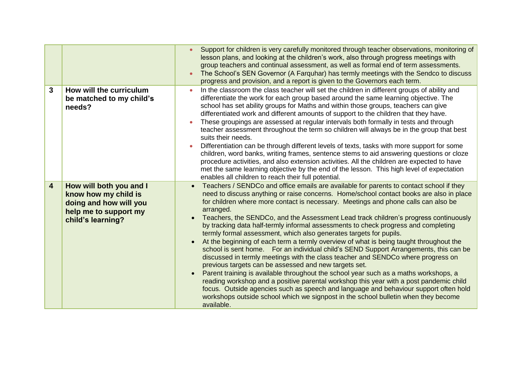|                         |                                                                                                                         | Support for children is very carefully monitored through teacher observations, monitoring of<br>$\bullet$<br>lesson plans, and looking at the children's work, also through progress meetings with<br>group teachers and continual assessment, as well as formal end of term assessments.<br>The School's SEN Governor (A Farquhar) has termly meetings with the Sendco to discuss<br>$\bullet$<br>progress and provision, and a report is given to the Governors each term.                                                                                                                                                                                                                                                                                                                                                                                                                                                                                                                                                                                                                                                                                                                                                                            |
|-------------------------|-------------------------------------------------------------------------------------------------------------------------|---------------------------------------------------------------------------------------------------------------------------------------------------------------------------------------------------------------------------------------------------------------------------------------------------------------------------------------------------------------------------------------------------------------------------------------------------------------------------------------------------------------------------------------------------------------------------------------------------------------------------------------------------------------------------------------------------------------------------------------------------------------------------------------------------------------------------------------------------------------------------------------------------------------------------------------------------------------------------------------------------------------------------------------------------------------------------------------------------------------------------------------------------------------------------------------------------------------------------------------------------------|
| 3                       | How will the curriculum<br>be matched to my child's<br>needs?                                                           | In the classroom the class teacher will set the children in different groups of ability and<br>differentiate the work for each group based around the same learning objective. The<br>school has set ability groups for Maths and within those groups, teachers can give<br>differentiated work and different amounts of support to the children that they have.<br>These groupings are assessed at regular intervals both formally in tests and through<br>teacher assessment throughout the term so children will always be in the group that best<br>suits their needs.<br>Differentiation can be through different levels of texts, tasks with more support for some<br>children, word banks, writing frames, sentence stems to aid answering questions or cloze<br>procedure activities, and also extension activities. All the children are expected to have<br>met the same learning objective by the end of the lesson. This high level of expectation<br>enables all children to reach their full potential.                                                                                                                                                                                                                                   |
| $\overline{\mathbf{4}}$ | How will both you and I<br>know how my child is<br>doing and how will you<br>help me to support my<br>child's learning? | Teachers / SENDCo and office emails are available for parents to contact school if they<br>need to discuss anything or raise concerns. Home/school contact books are also in place<br>for children where more contact is necessary. Meetings and phone calls can also be<br>arranged.<br>Teachers, the SENDCo, and the Assessment Lead track children's progress continuously<br>by tracking data half-termly informal assessments to check progress and completing<br>termly formal assessment, which also generates targets for pupils.<br>At the beginning of each term a termly overview of what is being taught throughout the<br>school is sent home. For an individual child's SEND Support Arrangements, this can be<br>discussed in termly meetings with the class teacher and SENDCo where progress on<br>previous targets can be assessed and new targets set.<br>Parent training is available throughout the school year such as a maths workshops, a<br>reading workshop and a positive parental workshop this year with a post pandemic child<br>focus. Outside agencies such as speech and language and behaviour support often hold<br>workshops outside school which we signpost in the school bulletin when they become<br>available. |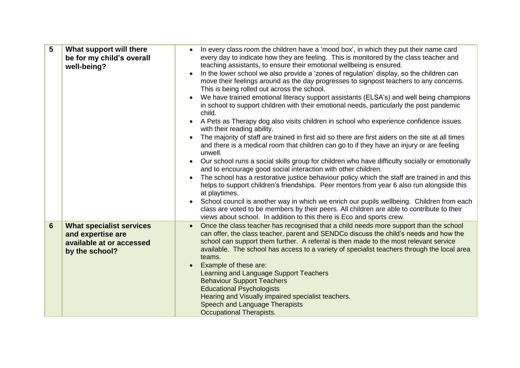| 5              | What support will there<br>be for my child's overall<br>well-being?                                | In every class room the children have a 'mood box', in which they put their name card<br>every day to indicate how they are feeling. This is monitored by the class teacher and<br>teaching assistants, to ensure their emotional wellbeing is ensured.<br>In the lower school we also provide a 'zones of regulation' display, so the children can<br>$\bullet$<br>move their feelings around as the day progresses to signpost teachers to any concerns.<br>This is being rolled out across the school.<br>We have trained emotional literacy support assistants (ELSA's) and well being champions<br>in school to support children with their emotional needs, particularly the post pandemic<br>child.<br>A Pets as Therapy dog also visits children in school who experience confidence issues<br>$\bullet$<br>with their reading ability.<br>The majority of staff are trained in first aid so there are first aiders on the site at all times<br>and there is a medical room that children can go to if they have an injury or are feeling<br>unwell.<br>Our school runs a social skills group for children who have difficulty socially or emotionally<br>$\bullet$<br>and to encourage good social interaction with other children.<br>The school has a restorative justice behaviour policy which the staff are trained in and this<br>helps to support children's friendships. Peer mentors from year 6 also run alongside this<br>at playtimes.<br>School council is another way in which we enrich our pupils wellbeing. Children from each<br>$\bullet$<br>class are voted to be members by their peers. All children are able to contribute to their<br>views about school. In addition to this there is Eco and sports crew. |
|----------------|----------------------------------------------------------------------------------------------------|----------------------------------------------------------------------------------------------------------------------------------------------------------------------------------------------------------------------------------------------------------------------------------------------------------------------------------------------------------------------------------------------------------------------------------------------------------------------------------------------------------------------------------------------------------------------------------------------------------------------------------------------------------------------------------------------------------------------------------------------------------------------------------------------------------------------------------------------------------------------------------------------------------------------------------------------------------------------------------------------------------------------------------------------------------------------------------------------------------------------------------------------------------------------------------------------------------------------------------------------------------------------------------------------------------------------------------------------------------------------------------------------------------------------------------------------------------------------------------------------------------------------------------------------------------------------------------------------------------------------------------------------------------------------------------------------------------------------------------------------|
| $6\phantom{1}$ | <b>What specialist services</b><br>and expertise are<br>available at or accessed<br>by the school? | Once the class teacher has recognised that a child needs more support than the school<br>can offer, the class teacher, parent and SENDCo discuss the child's needs and how the<br>school can support them further. A referral is then made to the most relevant service<br>available. The school has access to a variety of specialist teachers through the local area<br>teams.<br>Example of these are:<br>Learning and Language Support Teachers<br><b>Behaviour Support Teachers</b><br><b>Educational Psychologists</b><br>Hearing and Visually impaired specialist teachers.<br>Speech and Language Therapists<br>Occupational Therapists.                                                                                                                                                                                                                                                                                                                                                                                                                                                                                                                                                                                                                                                                                                                                                                                                                                                                                                                                                                                                                                                                                             |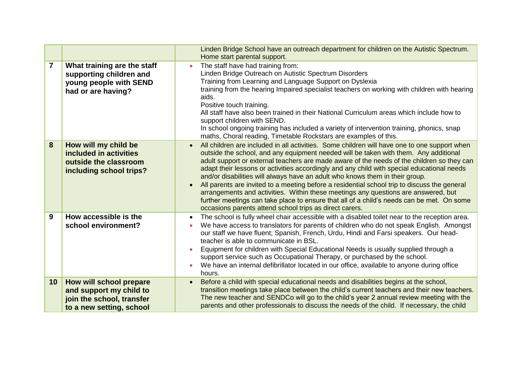|    |                                                                                                             | Linden Bridge School have an outreach department for children on the Autistic Spectrum.<br>Home start parental support.                                                                                                                                                                                                                                                                                                                                                                                                                                                                                                                                                                                                                                                                                                                  |
|----|-------------------------------------------------------------------------------------------------------------|------------------------------------------------------------------------------------------------------------------------------------------------------------------------------------------------------------------------------------------------------------------------------------------------------------------------------------------------------------------------------------------------------------------------------------------------------------------------------------------------------------------------------------------------------------------------------------------------------------------------------------------------------------------------------------------------------------------------------------------------------------------------------------------------------------------------------------------|
| 7  | What training are the staff<br>supporting children and<br>young people with SEND<br>had or are having?      | The staff have had training from:<br>$\bullet$<br>Linden Bridge Outreach on Autistic Spectrum Disorders<br>Training from Learning and Language Support on Dyslexia<br>training from the hearing Impaired specialist teachers on working with children with hearing<br>aids.<br>Positive touch training.<br>All staff have also been trained in their National Curriculum areas which include how to<br>support children with SEND.<br>In school ongoing training has included a variety of intervention training, phonics, snap<br>maths, Choral reading, Timetable Rockstars are examples of this.                                                                                                                                                                                                                                      |
| 8  | How will my child be<br>included in activities<br>outside the classroom<br>including school trips?          | All children are included in all activities. Some children will have one to one support when<br>$\bullet$<br>outside the school, and any equipment needed will be taken with them. Any additional<br>adult support or external teachers are made aware of the needs of the children so they can<br>adapt their lessons or activities accordingly and any child with special educational needs<br>and/or disabilities will always have an adult who knows them in their group.<br>All parents are invited to a meeting before a residential school trip to discuss the general<br>$\bullet$<br>arrangements and activities. Within these meetings any questions are answered, but<br>further meetings can take place to ensure that all of a child's needs can be met. On some<br>occasions parents attend school trips as direct carers. |
| 9  | How accessible is the<br>school environment?                                                                | The school is fully wheel chair accessible with a disabled toilet near to the reception area.<br>$\bullet$<br>We have access to translators for parents of children who do not speak English. Amongst<br>$\bullet$<br>our staff we have fluent; Spanish, French, Urdu, Hindi and Farsi speakers. Our head-<br>teacher is able to communicate in BSL.<br>Equipment for children with Special Educational Needs is usually supplied through a<br>$\bullet$<br>support service such as Occupational Therapy, or purchased by the school.<br>We have an internal defibrillator located in our office, available to anyone during office<br>hours.                                                                                                                                                                                            |
| 10 | How will school prepare<br>and support my child to<br>join the school, transfer<br>to a new setting, school | Before a child with special educational needs and disabilities begins at the school,<br>$\bullet$<br>transition meetings take place between the child's current teachers and their new teachers.<br>The new teacher and SENDCo will go to the child's year 2 annual review meeting with the<br>parents and other professionals to discuss the needs of the child. If necessary, the child                                                                                                                                                                                                                                                                                                                                                                                                                                                |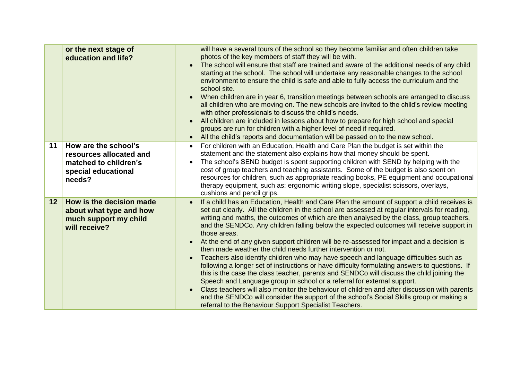|                 | or the next stage of<br>education and life?                                                               | will have a several tours of the school so they become familiar and often children take<br>photos of the key members of staff they will be with.<br>The school will ensure that staff are trained and aware of the additional needs of any child<br>starting at the school. The school will undertake any reasonable changes to the school<br>environment to ensure the child is safe and able to fully access the curriculum and the<br>school site.<br>When children are in year 6, transition meetings between schools are arranged to discuss<br>all children who are moving on. The new schools are invited to the child's review meeting<br>with other professionals to discuss the child's needs.<br>All children are included in lessons about how to prepare for high school and special<br>groups are run for children with a higher level of need if required.<br>All the child's reports and documentation will be passed on to the new school.<br>$\bullet$                                                                                                                                                                                                                                                             |
|-----------------|-----------------------------------------------------------------------------------------------------------|--------------------------------------------------------------------------------------------------------------------------------------------------------------------------------------------------------------------------------------------------------------------------------------------------------------------------------------------------------------------------------------------------------------------------------------------------------------------------------------------------------------------------------------------------------------------------------------------------------------------------------------------------------------------------------------------------------------------------------------------------------------------------------------------------------------------------------------------------------------------------------------------------------------------------------------------------------------------------------------------------------------------------------------------------------------------------------------------------------------------------------------------------------------------------------------------------------------------------------------|
| 11              | How are the school's<br>resources allocated and<br>matched to children's<br>special educational<br>needs? | For children with an Education, Health and Care Plan the budget is set within the<br>$\bullet$<br>statement and the statement also explains how that money should be spent.<br>The school's SEND budget is spent supporting children with SEND by helping with the<br>$\bullet$<br>cost of group teachers and teaching assistants. Some of the budget is also spent on<br>resources for children, such as appropriate reading books, PE equipment and occupational<br>therapy equipment, such as: ergonomic writing slope, specialist scissors, overlays,<br>cushions and pencil grips.                                                                                                                                                                                                                                                                                                                                                                                                                                                                                                                                                                                                                                              |
| 12 <sub>2</sub> | How is the decision made<br>about what type and how<br>much support my child<br>will receive?             | If a child has an Education, Health and Care Plan the amount of support a child receives is<br>$\bullet$<br>set out clearly. All the children in the school are assessed at regular intervals for reading,<br>writing and maths, the outcomes of which are then analysed by the class, group teachers,<br>and the SENDCo. Any children falling below the expected outcomes will receive support in<br>those areas.<br>At the end of any given support children will be re-assessed for impact and a decision is<br>$\bullet$<br>then made weather the child needs further intervention or not.<br>Teachers also identify children who may have speech and language difficulties such as<br>$\bullet$<br>following a longer set of instructions or have difficulty formulating answers to questions. If<br>this is the case the class teacher, parents and SENDCo will discuss the child joining the<br>Speech and Language group in school or a referral for external support.<br>Class teachers will also monitor the behaviour of children and after discussion with parents<br>and the SENDCo will consider the support of the school's Social Skills group or making a<br>referral to the Behaviour Support Specialist Teachers. |